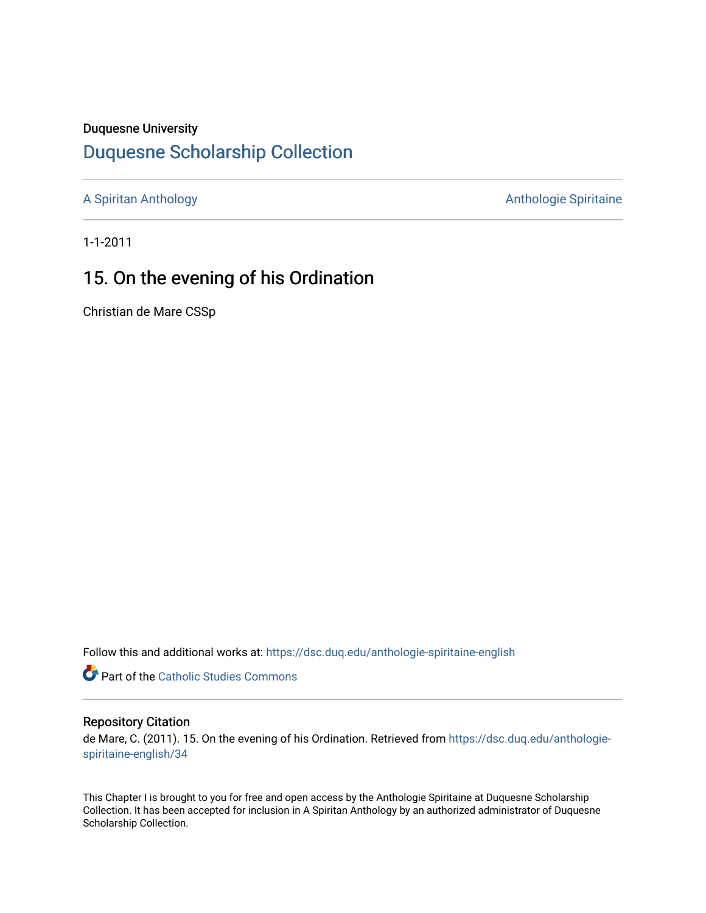### Duquesne University

## [Duquesne Scholarship Collection](https://dsc.duq.edu/)

[A Spiritan Anthology](https://dsc.duq.edu/anthologie-spiritaine-english) **Anthology** Anthologie Spiritaine

1-1-2011

# 15. On the evening of his Ordination

Christian de Mare CSSp

Follow this and additional works at: [https://dsc.duq.edu/anthologie-spiritaine-english](https://dsc.duq.edu/anthologie-spiritaine-english?utm_source=dsc.duq.edu%2Fanthologie-spiritaine-english%2F34&utm_medium=PDF&utm_campaign=PDFCoverPages)

Part of the [Catholic Studies Commons](http://network.bepress.com/hgg/discipline/1294?utm_source=dsc.duq.edu%2Fanthologie-spiritaine-english%2F34&utm_medium=PDF&utm_campaign=PDFCoverPages)

#### Repository Citation

de Mare, C. (2011). 15. On the evening of his Ordination. Retrieved from [https://dsc.duq.edu/anthologie](https://dsc.duq.edu/anthologie-spiritaine-english/34?utm_source=dsc.duq.edu%2Fanthologie-spiritaine-english%2F34&utm_medium=PDF&utm_campaign=PDFCoverPages)[spiritaine-english/34](https://dsc.duq.edu/anthologie-spiritaine-english/34?utm_source=dsc.duq.edu%2Fanthologie-spiritaine-english%2F34&utm_medium=PDF&utm_campaign=PDFCoverPages) 

This Chapter I is brought to you for free and open access by the Anthologie Spiritaine at Duquesne Scholarship Collection. It has been accepted for inclusion in A Spiritan Anthology by an authorized administrator of Duquesne Scholarship Collection.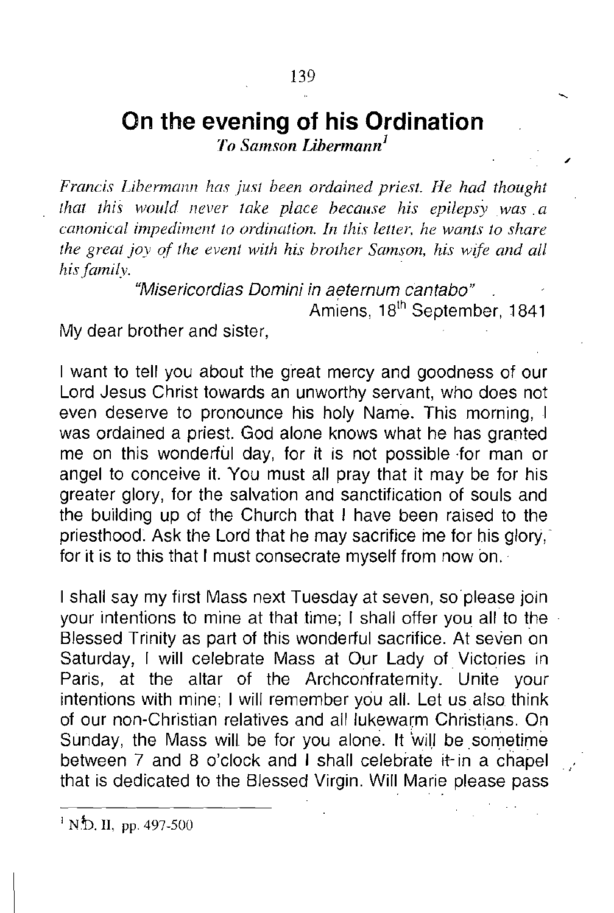## **On the evening of his Ordination**

*To Samson Libermann<sup>l</sup>*

*Francis Libermann has just been ordained priest. He had thought that this would never take place because his epilepsy was. a canonical impediment to ordination. In this let/er. he wants to share the great joy of the event with his brother Samson, his wife and all his{amily.*

*"Misericordias Domini in aeternum cantabo"*

Amiens, 18<sup>th</sup> September, 1841

My dear brother and sister,

I want to tell you about the great mercy and goodness of our Lord Jesus Christ towards an unworthy servant, who does not *even* deserve to pronounce his holy Name. This morning, I was ordained a priest. God alone knows what he has granted me on this wonderful day, for it is not possible for man or angel to conceive it. You must all pray that it may be for his greater glory, for the salvation and sanctification of souls and the building up of the Church that I *have* been raised to the priesthood. Ask the Lord that he may sacrifice me for his glory: for it is to this that I must consecrate myself from now on.

I shall say my first Mass next Tuesday at seven, so please join your intentions to mine at that time; I shall offer you all to the Blessed Trinity as part of this wonderful sacrifice. At seven on Saturday, I will celebrate Mass at Our Lady of Victories in Paris, at the altar of the Archconfraternity. Unite your intentions with mine; I will remember you all. Let us also think of our non-Christian relatives and all lukewarm Christians. On Sunday, the Mass will be for you alone. It 'will be sometime between 7 and 8 o'clock and I shall celebrate it- in a chapel that is dedicated to the Blessed Virgin. Will Marie please pass

 $\overline{1}$  N.D. II, pp. 497-500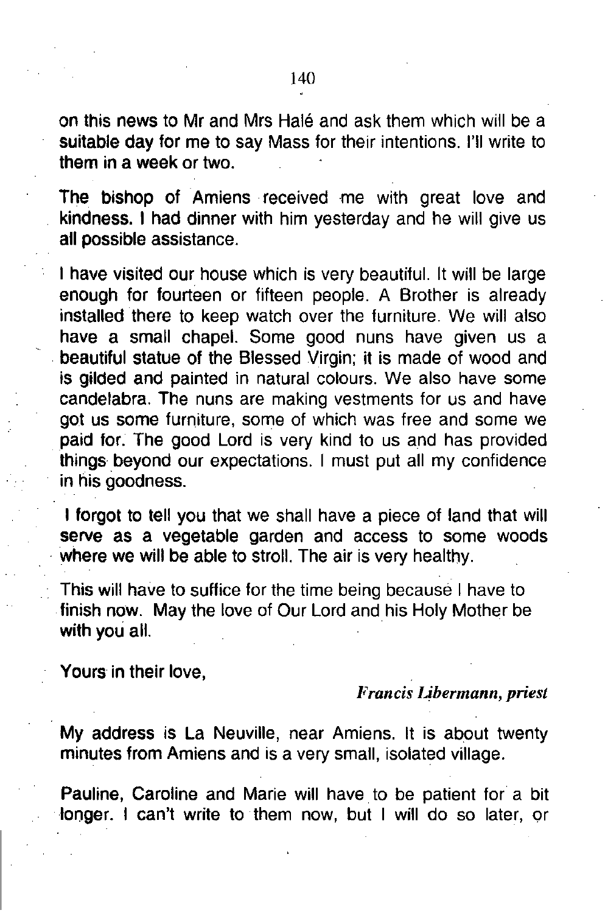on this news to Mr and Mrs Halé and ask them which will be a suitable day for me to say Mass for their intentions. I'll write to them in a week or two.

The bishop of Amiens received me with great love and kindness. I had dinner with him yesterday and he will give us all possible assistance.

I have visited our house which is very beautiful. It will be large enough for fourteen or fifteen people. A Brother is already installed there to keep watch over the furniture. We will also have a small chapel. Some good nuns have given us a beautiful statue of the Blessed Virgin; it is made of wood and is gilded and painted in natural colours. We also have some candelabra. The nuns are making vestments for us and have got us some furniture, some of which was free and some we paid for. The good Lord is very kind to us and has provided things beyond our expectations. I must put all my confidence in his goodness.

I forgot to tell you that we shall have a piece of land that will serve as a vegetable garden and access to some woods where we will be able to stroll. The air is very healthy.

This will have to suffice for the time being because I have to finish now. May the love of Our Lord and his Holy Mother be with you all.

Yours in their love,

#### *Francis Libermann, priest*

My address is La Neuville, near Amiens. It is about twenty minutes from Amiens and is a very small, isolated village.

Pauline, Caroline and Marie will have to be patient for a bit longer. I can't write to them now, but I will do so later, or